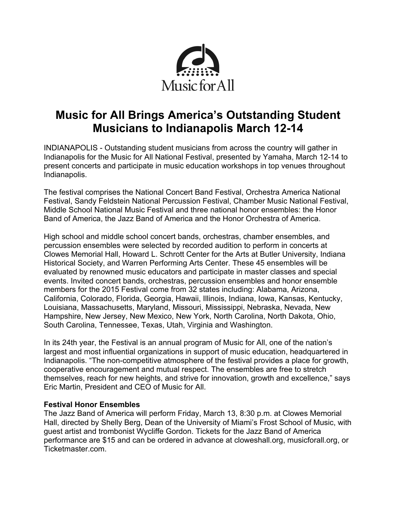

# **Music for All Brings America's Outstanding Student Musicians to Indianapolis March 12-14**

INDIANAPOLIS - Outstanding student musicians from across the country will gather in Indianapolis for the Music for All National Festival, presented by Yamaha, March 12-14 to present concerts and participate in music education workshops in top venues throughout Indianapolis.

The festival comprises the National Concert Band Festival, Orchestra America National Festival, Sandy Feldstein National Percussion Festival, Chamber Music National Festival, Middle School National Music Festival and three national honor ensembles: the Honor Band of America, the Jazz Band of America and the Honor Orchestra of America.

High school and middle school concert bands, orchestras, chamber ensembles, and percussion ensembles were selected by recorded audition to perform in concerts at Clowes Memorial Hall, Howard L. Schrott Center for the Arts at Butler University, Indiana Historical Society, and Warren Performing Arts Center. These 45 ensembles will be evaluated by renowned music educators and participate in master classes and special events. Invited concert bands, orchestras, percussion ensembles and honor ensemble members for the 2015 Festival come from 32 states including: Alabama, Arizona, California, Colorado, Florida, Georgia, Hawaii, Illinois, Indiana, Iowa, Kansas, Kentucky, Louisiana, Massachusetts, Maryland, Missouri, Mississippi, Nebraska, Nevada, New Hampshire, New Jersey, New Mexico, New York, North Carolina, North Dakota, Ohio, South Carolina, Tennessee, Texas, Utah, Virginia and Washington.

In its 24th year, the Festival is an annual program of Music for All, one of the nation's largest and most influential organizations in support of music education, headquartered in Indianapolis. "The non-competitive atmosphere of the festival provides a place for growth, cooperative encouragement and mutual respect. The ensembles are free to stretch themselves, reach for new heights, and strive for innovation, growth and excellence," says Eric Martin, President and CEO of Music for All.

# **Festival Honor Ensembles**

The Jazz Band of America will perform Friday, March 13, 8:30 p.m. at Clowes Memorial Hall, directed by Shelly Berg, Dean of the University of Miami's Frost School of Music, with guest artist and trombonist Wycliffe Gordon. Tickets for the Jazz Band of America performance are \$15 and can be ordered in advance at cloweshall.org, musicforall.org, or Ticketmaster.com.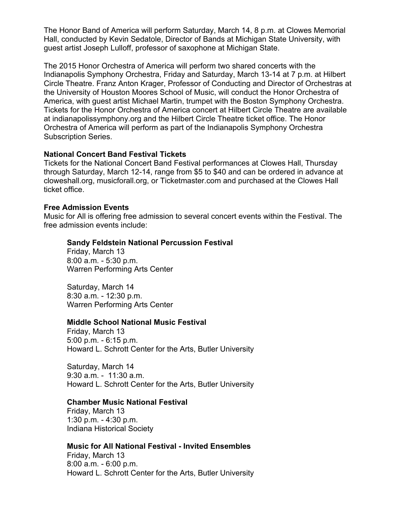The Honor Band of America will perform Saturday, March 14, 8 p.m. at Clowes Memorial Hall, conducted by Kevin Sedatole, Director of Bands at Michigan State University, with guest artist Joseph Lulloff, professor of saxophone at Michigan State.

The 2015 Honor Orchestra of America will perform two shared concerts with the Indianapolis Symphony Orchestra, Friday and Saturday, March 13-14 at 7 p.m. at Hilbert Circle Theatre. Franz Anton Krager, Professor of Conducting and Director of Orchestras at the University of Houston Moores School of Music, will conduct the Honor Orchestra of America, with guest artist Michael Martin, trumpet with the Boston Symphony Orchestra. Tickets for the Honor Orchestra of America concert at Hilbert Circle Theatre are available at indianapolissymphony.org and the Hilbert Circle Theatre ticket office. The Honor Orchestra of America will perform as part of the Indianapolis Symphony Orchestra Subscription Series.

## **National Concert Band Festival Tickets**

Tickets for the National Concert Band Festival performances at Clowes Hall, Thursday through Saturday, March 12-14, range from \$5 to \$40 and can be ordered in advance at cloweshall.org, musicforall.org, or Ticketmaster.com and purchased at the Clowes Hall ticket office.

## **Free Admission Events**

Music for All is offering free admission to several concert events within the Festival. The free admission events include:

# **Sandy Feldstein National Percussion Festival**

Friday, March 13 8:00 a.m. - 5:30 p.m. Warren Performing Arts Center

Saturday, March 14 8:30 a.m. - 12:30 p.m. Warren Performing Arts Center

#### **Middle School National Music Festival**

Friday, March 13 5:00 p.m. - 6:15 p.m. Howard L. Schrott Center for the Arts, Butler University

Saturday, March 14 9:30 a.m. - 11:30 a.m. Howard L. Schrott Center for the Arts, Butler University

#### **Chamber Music National Festival**

Friday, March 13 1:30 p.m. - 4:30 p.m. Indiana Historical Society

#### **Music for All National Festival - Invited Ensembles**

Friday, March 13 8:00 a.m. - 6:00 p.m. Howard L. Schrott Center for the Arts, Butler University